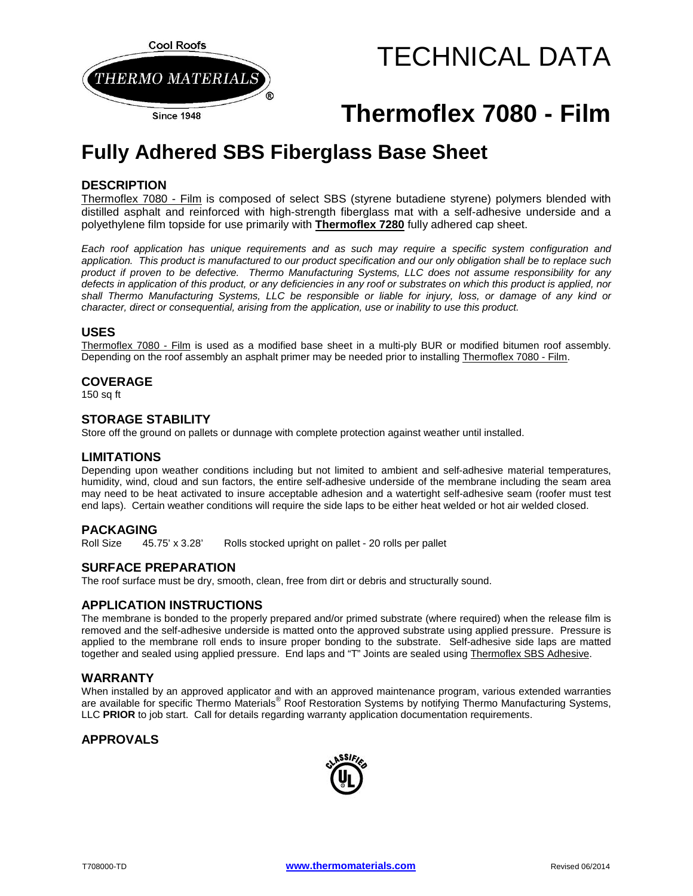

# TECHNICAL DATA

## **Thermoflex 7080 - Film**

### **Fully Adhered SBS Fiberglass Base Sheet**

#### **DESCRIPTION**

Thermoflex 7080 - Film is composed of select SBS (styrene butadiene styrene) polymers blended with distilled asphalt and reinforced with high-strength fiberglass mat with a self-adhesive underside and a polyethylene film topside for use primarily with **Thermoflex 7280** fully adhered cap sheet.

*Each roof application has unique requirements and as such may require a specific system configuration and application. This product is manufactured to our product specification and our only obligation shall be to replace such product if proven to be defective. Thermo Manufacturing Systems, LLC does not assume responsibility for any defects in application of this product, or any deficiencies in any roof or substrates on which this product is applied, nor shall Thermo Manufacturing Systems, LLC be responsible or liable for injury, loss, or damage of any kind or character, direct or consequential, arising from the application, use or inability to use this product.*

#### **USES**

Thermoflex 7080 - Film is used as a modified base sheet in a multi-ply BUR or modified bitumen roof assembly. Depending on the roof assembly an asphalt primer may be needed prior to installing Thermoflex 7080 - Film.

#### **COVERAGE**

 $150$  sa ft

#### **STORAGE STABILITY**

Store off the ground on pallets or dunnage with complete protection against weather until installed.

#### **LIMITATIONS**

Depending upon weather conditions including but not limited to ambient and self-adhesive material temperatures, humidity, wind, cloud and sun factors, the entire self-adhesive underside of the membrane including the seam area may need to be heat activated to insure acceptable adhesion and a watertight self-adhesive seam (roofer must test end laps). Certain weather conditions will require the side laps to be either heat welded or hot air welded closed.

**PACKAGING**<br>Roll Size 45.75' x 3.28' Rolls stocked upright on pallet - 20 rolls per pallet

#### **SURFACE PREPARATION**

The roof surface must be dry, smooth, clean, free from dirt or debris and structurally sound.

#### **APPLICATION INSTRUCTIONS**

The membrane is bonded to the properly prepared and/or primed substrate (where required) when the release film is removed and the self-adhesive underside is matted onto the approved substrate using applied pressure. Pressure is applied to the membrane roll ends to insure proper bonding to the substrate. Self-adhesive side laps are matted together and sealed using applied pressure. End laps and "T" Joints are sealed using Thermoflex SBS Adhesive.

#### **WARRANTY**

When installed by an approved applicator and with an approved maintenance program, various extended warranties are available for specific Thermo Materials® Roof Restoration Systems by notifying Thermo Manufacturing Systems, LLC **PRIOR** to job start. Call for details regarding warranty application documentation requirements.

#### **APPROVALS**